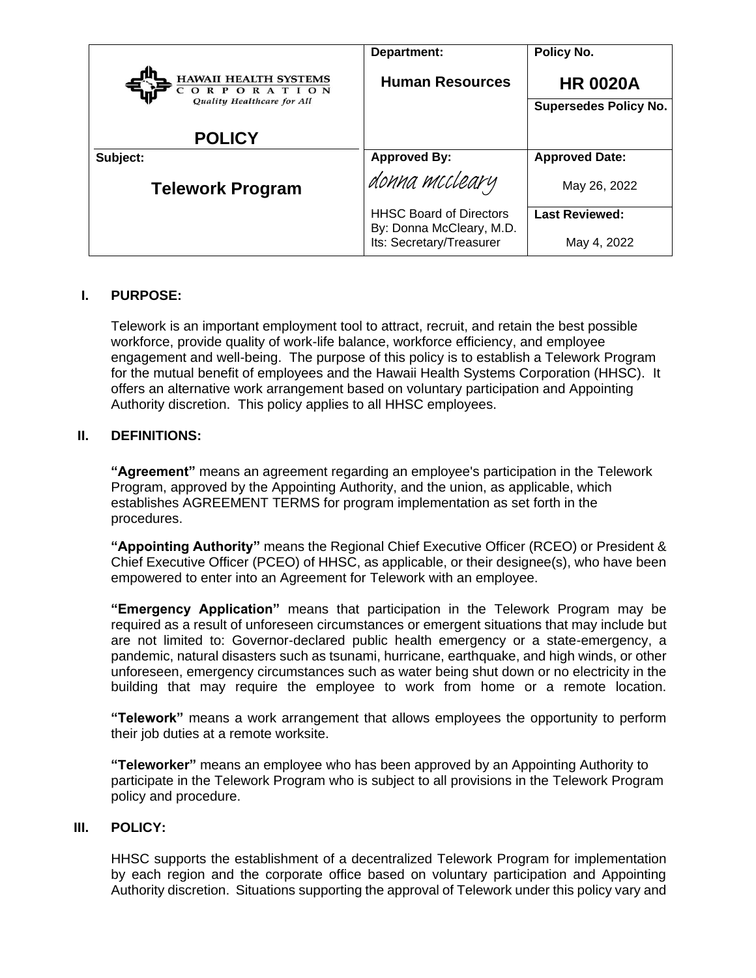|                                                                        | Department:                                          | Policy No.                   |
|------------------------------------------------------------------------|------------------------------------------------------|------------------------------|
| <b>HAWAII HEALTH SYSTEMS</b><br>PORATION<br>Quality Healthcare for All | <b>Human Resources</b>                               | <b>HR 0020A</b>              |
|                                                                        |                                                      | <b>Supersedes Policy No.</b> |
| <b>POLICY</b>                                                          |                                                      |                              |
| Subject:                                                               | <b>Approved By:</b>                                  | <b>Approved Date:</b>        |
| <b>Telework Program</b>                                                | donna mccleary                                       | May 26, 2022                 |
|                                                                        | <b>HHSC Board of Directors</b>                       | <b>Last Reviewed:</b>        |
|                                                                        | By: Donna McCleary, M.D.<br>Its: Secretary/Treasurer | May 4, 2022                  |

### **I. PURPOSE:**

Telework is an important employment tool to attract, recruit, and retain the best possible workforce, provide quality of work-life balance, workforce efficiency, and employee engagement and well-being. The purpose of this policy is to establish a Telework Program for the mutual benefit of employees and the Hawaii Health Systems Corporation (HHSC). It offers an alternative work arrangement based on voluntary participation and Appointing Authority discretion. This policy applies to all HHSC employees.

## **II. DEFINITIONS:**

**"Agreement"** means an agreement regarding an employee's participation in the Telework Program, approved by the Appointing Authority, and the union, as applicable, which establishes AGREEMENT TERMS for program implementation as set forth in the procedures.

**"Appointing Authority"** means the Regional Chief Executive Officer (RCEO) or President & Chief Executive Officer (PCEO) of HHSC, as applicable, or their designee(s), who have been empowered to enter into an Agreement for Telework with an employee.

**"Emergency Application"** means that participation in the Telework Program may be required as a result of unforeseen circumstances or emergent situations that may include but are not limited to: Governor-declared public health emergency or a state-emergency, a pandemic, natural disasters such as tsunami, hurricane, earthquake, and high winds, or other unforeseen, emergency circumstances such as water being shut down or no electricity in the building that may require the employee to work from home or a remote location.

**"Telework"** means a work arrangement that allows employees the opportunity to perform their job duties at a remote worksite.

**"Teleworker"** means an employee who has been approved by an Appointing Authority to participate in the Telework Program who is subject to all provisions in the Telework Program policy and procedure.

### **III. POLICY:**

HHSC supports the establishment of a decentralized Telework Program for implementation by each region and the corporate office based on voluntary participation and Appointing Authority discretion. Situations supporting the approval of Telework under this policy vary and